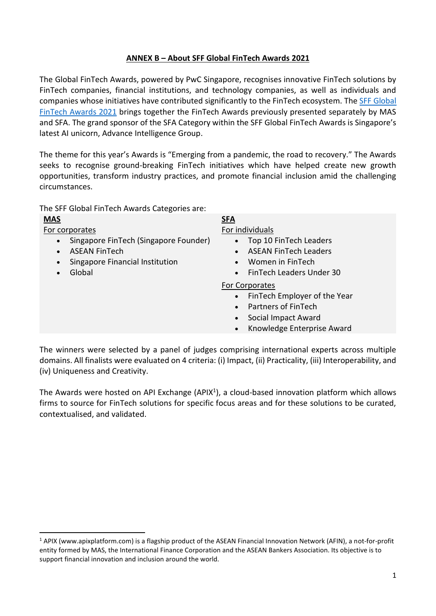## **ANNEX B – About SFF Global FinTech Awards 2021**

The Global FinTech Awards, powered by PwC Singapore, recognises innovative FinTech solutions by FinTech companies, financial institutions, and technology companies, as well as individuals and companies whose initiatives have contributed significantly to the FinTech ecosystem. Th[e SFF Global](https://www.mas.gov.sg/news/media-releases/2021/mas-and-sfa-invite-entries-for-2021-fintech-awards)  [FinTech Awards 2021](https://www.mas.gov.sg/news/media-releases/2021/mas-and-sfa-invite-entries-for-2021-fintech-awards) brings together the FinTech Awards previously presented separately by MAS and SFA. The grand sponsor of the SFA Category within the SFF Global FinTech Awards is Singapore's latest AI unicorn, Advance Intelligence Group.

The theme for this year's Awards is "Emerging from a pandemic, the road to recovery." The Awards seeks to recognise ground-breaking FinTech initiatives which have helped create new growth opportunities, transform industry practices, and promote financial inclusion amid the challenging circumstances.

The SFF Global FinTech Awards Categories are:

## **MAS SFA**

For corporates **For individuals** 

- Singapore FinTech (Singapore Founder)
- ASEAN FinTech
- Singapore Financial Institution
- Global

- Top 10 FinTech Leaders
- ASEAN FinTech Leaders
- Women in FinTech
- FinTech Leaders Under 30

## For Corporates

- FinTech Employer of the Year
- Partners of FinTech
- Social Impact Award
- Knowledge Enterprise Award

The winners were selected by a panel of judges comprising international experts across multiple domains. All finalists were evaluated on 4 criteria: (i) Impact, (ii) Practicality, (iii) Interoperability, and (iv) Uniqueness and Creativity.

The Awards were hosted on API Exchange (APIX<sup>1</sup>), a cloud-based innovation platform which allows firms to source for FinTech solutions for specific focus areas and for these solutions to be curated, contextualised, and validated.

 $1$  APIX [\(www.apixplatform.com\)](https://www.mas.gov.sg/news/media-releases/2021/www.apixplatform.com) is a flagship product of the ASEAN Financial Innovation Network (AFIN), a not-for-profit entity formed by MAS, the International Finance Corporation and the ASEAN Bankers Association. Its objective is to support financial innovation and inclusion around the world.